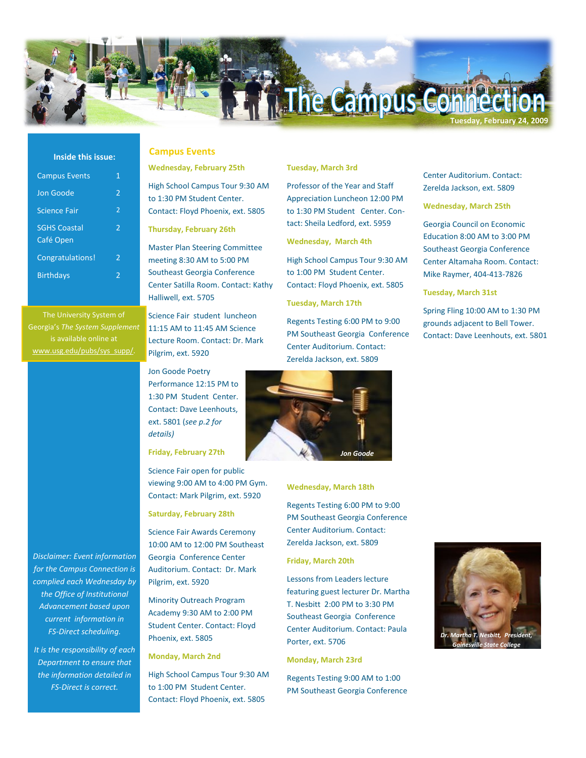# The Campus Connect **Tuesday, February 24, 2009**

## **Inside this issue:**

| <b>Campus Events</b>             | 1                        |
|----------------------------------|--------------------------|
| Jon Goode                        | 2                        |
| <b>Science Fair</b>              | $\overline{2}$           |
| <b>SGHS Coastal</b><br>Café Open | 2                        |
| Congratulations!                 | 2                        |
| <b>Birthdays</b>                 | $\overline{\phantom{a}}$ |
|                                  |                          |

Georgia's *The System Supplement*  is available online at [www.usg.edu/pubs/sys\\_supp/.](http://www.usg.edu/pubs/sys_supp/)

*Disclaimer: Event information for the Campus Connection is complied each Wednesday by the Office of Institutional Advancement based upon current information in FS-Direct scheduling.* 

*It is the responsibility of each Department to ensure that the information detailed in FS-Direct is correct.*

# **Wednesday, February 25th**

High School Campus Tour 9:30 AM to 1:30 PM Student Center. Contact: Floyd Phoenix, ext. 5805

**Thursday, February 26th**

**Campus Events**

Master Plan Steering Committee meeting 8:30 AM to 5:00 PM Southeast Georgia Conference Center Satilla Room. Contact: Kathy Halliwell, ext. 5705

Science Fair student luncheon 11:15 AM to 11:45 AM Science Lecture Room. Contact: Dr. Mark Pilgrim, ext. 5920

Jon Goode Poetry Performance 12:15 PM to 1:30 PM Student Center. Contact: Dave Leenhouts, ext. 5801 (*see p.2 for details)* 

**Friday, February 27th**

Science Fair open for public viewing 9:00 AM to 4:00 PM Gym. Contact: Mark Pilgrim, ext. 5920

### **Saturday, February 28th**

Science Fair Awards Ceremony 10:00 AM to 12:00 PM Southeast Georgia Conference Center Auditorium. Contact: Dr. Mark Pilgrim, ext. 5920

Minority Outreach Program Academy 9:30 AM to 2:00 PM Student Center. Contact: Floyd Phoenix, ext. 5805

**Monday, March 2nd**

High School Campus Tour 9:30 AM to 1:00 PM Student Center. Contact: Floyd Phoenix, ext. 5805

## **Tuesday, March 3rd**

Professor of the Year and Staff Appreciation Luncheon 12:00 PM to 1:30 PM Student Center. Contact: Sheila Ledford, ext. 5959

## **Wednesday, March 4th**

High School Campus Tour 9:30 AM to 1:00 PM Student Center. Contact: Floyd Phoenix, ext. 5805

## **Tuesday, March 17th**

Regents Testing 6:00 PM to 9:00 PM Southeast Georgia Conference Center Auditorium. Contact: Zerelda Jackson, ext. 5809



### **Wednesday, March 18th**

Regents Testing 6:00 PM to 9:00 PM Southeast Georgia Conference Center Auditorium. Contact: Zerelda Jackson, ext. 5809

## **Friday, March 20th**

Lessons from Leaders lecture featuring guest lecturer Dr. Martha T. Nesbitt 2:00 PM to 3:30 PM Southeast Georgia Conference Center Auditorium. Contact: Paula Porter, ext. 5706

## **Monday, March 23rd**

Regents Testing 9:00 AM to 1:00 PM Southeast Georgia Conference

Center Auditorium. Contact: Zerelda Jackson, ext. 5809

### **Wednesday, March 25th**

Georgia Council on Economic Education 8:00 AM to 3:00 PM Southeast Georgia Conference Center Altamaha Room. Contact: Mike Raymer, 404-413-7826

**Tuesday, March 31st**

Spring Fling 10:00 AM to 1:30 PM grounds adjacent to Bell Tower. Contact: Dave Leenhouts, ext. 5801